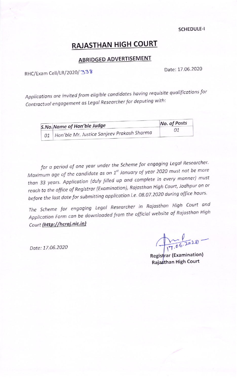**SCHEDULE-I** 

# **RAJASTHAN HIGH COURT**

## **ABRIDGED ADVERTISEMENT**

RHC/Exam Cell/LR/2020/338

Date: 17.06.2020

Applications are invited from eligible candidates having requisite qualifications for Contractual engagement as Legal Researcher for deputing with:

| S.No. Name of Hon'ble Judge                     | No. of Posts |  |
|-------------------------------------------------|--------------|--|
| 01   Hon'ble Mr. Justice Sanjeev Prakash Sharma | 01           |  |

for a period of one year under the Scheme for engaging Legal Researcher. Maximum age of the candidate as on 1<sup>st</sup> January of year 2020 must not be more than 33 years. Application (duly filled up and complete in every manner) must reach to the office of Registrar (Examination), Rajasthan High Court, Jodhpur on or before the last date for submitting application i.e. 08.07.2020 during office hours.

The Scheme for engaging Legal Researcher in Rajasthan High Court and Application Form can be downloaded from the official website of Rajasthan High Court (http://hcraj.nic.in)

Date: 17.06.2020

 $T_{17,06,2010}$ 

Registrar (Examination) Rajasthan High Court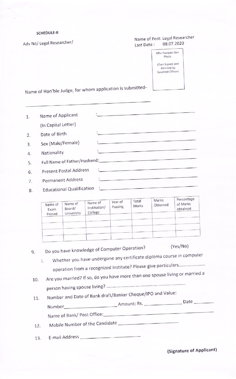### SCHEDULE-II

Adv No/ Legal Researcher/

## Name of Post: Legal Researcher<br>Last Date: 08.07.2020 Last Date:

Affix Passport Size Photo (Own Signed and<br>Attested by<br>Gazetted Officer)

Name of Hon'ble Judge, for whom application is submitted-

| 1. | Name of Applicant                |                                                     |
|----|----------------------------------|-----------------------------------------------------|
|    | (In Capital Letter)              |                                                     |
| 2. | Date of Birth                    |                                                     |
| 3. | Sex (Male/Female)                |                                                     |
| 4. | Nationality                      |                                                     |
| 5. | Full Name of Father/Husband:     |                                                     |
| 6. | Present Postal Address           | <b>Many and Land Committee of the Committee</b>     |
| 7. | Permanent Address                |                                                     |
| 8. | <b>Educational Qualification</b> | <b>The complete of the complete of the complete</b> |

|                           |                                 |                                    | Year of | Total | Marks    | Percentage           |
|---------------------------|---------------------------------|------------------------------------|---------|-------|----------|----------------------|
| Name of<br>Exam<br>Passed | Name of<br>Board/<br>University | Name of<br>Institution/<br>College | Passing | Marks | Obtained | of Marks<br>obtained |
|                           |                                 |                                    |         |       |          |                      |
|                           |                                 |                                    |         |       |          |                      |
|                           |                                 |                                    |         |       |          |                      |
|                           |                                 |                                    |         |       |          |                      |
|                           |                                 |                                    |         |       |          |                      |

| 9.  | (Yes/No)<br>Do you have knowledge of Computer Operation?                     |                                  |
|-----|------------------------------------------------------------------------------|----------------------------------|
|     | Whether you have undergone any certificate diploma course in computer<br>i.  |                                  |
|     | operation from a recognized Institute? Please give particulars               |                                  |
| 10. | Are you married? If so, do you have more than one spouse living or married a |                                  |
|     |                                                                              |                                  |
| 11. | Number and Date of Bank draft/Banker Cheque/IPO and Value:                   |                                  |
|     |                                                                              | $Date$ <sub><math>-</math></sub> |
|     |                                                                              |                                  |
| 12. | Mobile Number of the Candidate                                               |                                  |
| 13. |                                                                              |                                  |

(Signature of Applicant)